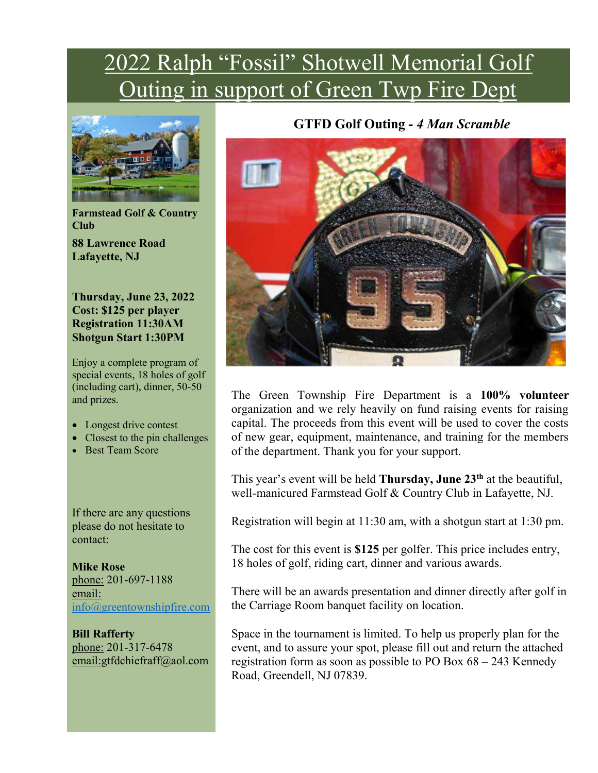## 2022 Ralph "Fossil" Shotwell Memorial Golf Outing in support of Green Twp Fire Dept



Farmstead Golf & Country Club 88 Lawrence Road Lafayette, NJ

Thursday, June 23, 2022 Cost: \$125 per player Registration 11:30AM Shotgun Start 1:30PM

Enjoy a complete program of special events, 18 holes of golf (including cart), dinner, 50-50 and prizes.

- Longest drive contest
- Closest to the pin challenges
- Best Team Score

If there are any questions please do not hesitate to contact:

Mike Rose phone: 201-697-1188 email: info@greentownshipfire.com

Bill Rafferty phone: 201-317-6478 email:gtfdchiefraff@aol.com

### GTFD Golf Outing - 4 Man Scramble



The Green Township Fire Department is a 100% volunteer organization and we rely heavily on fund raising events for raising capital. The proceeds from this event will be used to cover the costs of new gear, equipment, maintenance, and training for the members of the department. Thank you for your support.

This year's event will be held **Thursday**, **June 23**<sup>th</sup> at the beautiful, well-manicured Farmstead Golf & Country Club in Lafayette, NJ.

Registration will begin at 11:30 am, with a shotgun start at 1:30 pm.

The cost for this event is \$125 per golfer. This price includes entry, 18 holes of golf, riding cart, dinner and various awards.

There will be an awards presentation and dinner directly after golf in the Carriage Room banquet facility on location.

Space in the tournament is limited. To help us properly plan for the event, and to assure your spot, please fill out and return the attached registration form as soon as possible to PO Box 68 – 243 Kennedy Road, Greendell, NJ 07839.